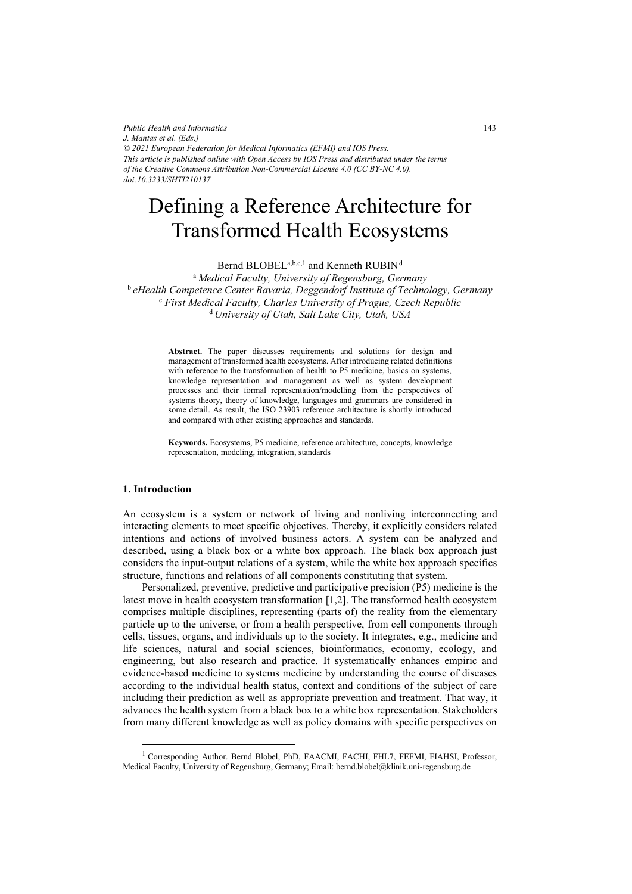*Public Health and Informatics J. Mantas et al. (Eds.) © 2021 European Federation for Medical Informatics (EFMI) and IOS Press. This article is published online with Open Access by IOS Press and distributed under the terms of the Creative Commons Attribution Non-Commercial License 4.0 (CC BY-NC 4.0). doi:10.3233/SHTI210137*

# Defining a Reference Architecture for Transformed Health Ecosystems

Bernd BLOBEL<sup>a,b,c,1</sup> and Kenneth RUBIN<sup>d</sup>

<sup>a</sup> *Medical Faculty, University of Regensburg, Germany*  <sup>b</sup> *eHealth Competence Center Bavaria, Deggendorf Institute of Technology, Germany* c  *First Medical Faculty, Charles University of Prague, Czech Republic*  <sup>d</sup> *University of Utah, Salt Lake City, Utah, USA* 

> **Abstract.** The paper discusses requirements and solutions for design and management of transformed health ecosystems. After introducing related definitions with reference to the transformation of health to P5 medicine, basics on systems, knowledge representation and management as well as system development processes and their formal representation/modelling from the perspectives of systems theory, theory of knowledge, languages and grammars are considered in some detail. As result, the ISO 23903 reference architecture is shortly introduced and compared with other existing approaches and standards.

> **Keywords.** Ecosystems, P5 medicine, reference architecture, concepts, knowledge representation, modeling, integration, standards

## **1. Introduction**

An ecosystem is a system or network of living and nonliving interconnecting and interacting elements to meet specific objectives. Thereby, it explicitly considers related intentions and actions of involved business actors. A system can be analyzed and described, using a black box or a white box approach. The black box approach just considers the input-output relations of a system, while the white box approach specifies structure, functions and relations of all components constituting that system.

Personalized, preventive, predictive and participative precision (P5) medicine is the latest move in health ecosystem transformation [1,2]. The transformed health ecosystem comprises multiple disciplines, representing (parts of) the reality from the elementary particle up to the universe, or from a health perspective, from cell components through cells, tissues, organs, and individuals up to the society. It integrates, e.g., medicine and life sciences, natural and social sciences, bioinformatics, economy, ecology, and engineering, but also research and practice. It systematically enhances empiric and evidence-based medicine to systems medicine by understanding the course of diseases according to the individual health status, context and conditions of the subject of care including their prediction as well as appropriate prevention and treatment. That way, it advances the health system from a black box to a white box representation. Stakeholders from many different knowledge as well as policy domains with specific perspectives on

<sup>&</sup>lt;sup>1</sup> Corresponding Author. Bernd Blobel, PhD, FAACMI, FACHI, FHL7, FEFMI, FIAHSI, Professor, Medical Faculty, University of Regensburg, Germany; Email: bernd.blobel@klinik.uni-regensburg.de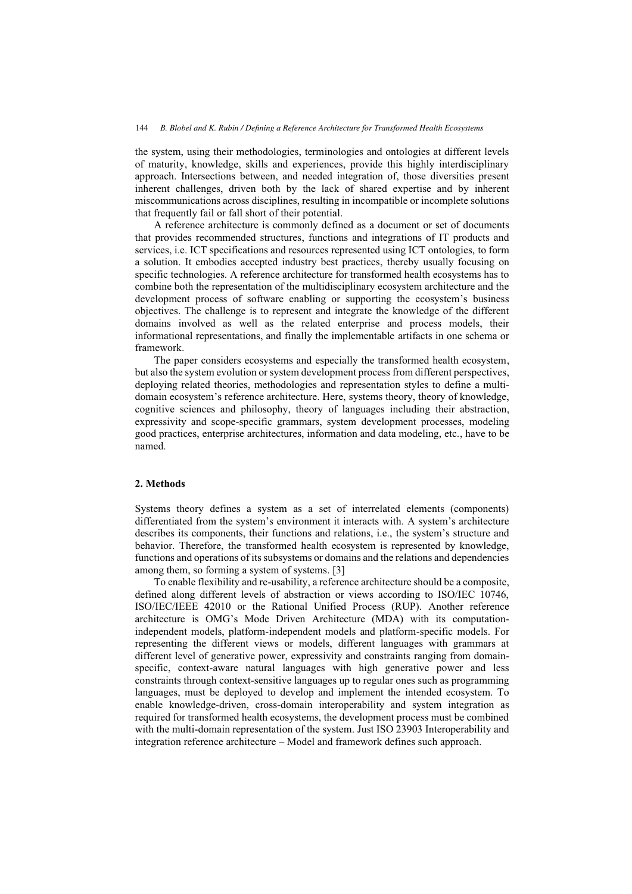the system, using their methodologies, terminologies and ontologies at different levels of maturity, knowledge, skills and experiences, provide this highly interdisciplinary approach. Intersections between, and needed integration of, those diversities present inherent challenges, driven both by the lack of shared expertise and by inherent miscommunications across disciplines, resulting in incompatible or incomplete solutions that frequently fail or fall short of their potential.

A reference architecture is commonly defined as a document or set of documents that provides recommended structures, functions and integrations of IT products and services, i.e. ICT specifications and resources represented using ICT ontologies, to form a solution. It embodies accepted industry best practices, thereby usually focusing on specific technologies. A reference architecture for transformed health ecosystems has to combine both the representation of the multidisciplinary ecosystem architecture and the development process of software enabling or supporting the ecosystem's business objectives. The challenge is to represent and integrate the knowledge of the different domains involved as well as the related enterprise and process models, their informational representations, and finally the implementable artifacts in one schema or framework.

The paper considers ecosystems and especially the transformed health ecosystem, but also the system evolution or system development process from different perspectives, deploying related theories, methodologies and representation styles to define a multidomain ecosystem's reference architecture. Here, systems theory, theory of knowledge, cognitive sciences and philosophy, theory of languages including their abstraction, expressivity and scope-specific grammars, system development processes, modeling good practices, enterprise architectures, information and data modeling, etc., have to be named.

## **2. Methods**

Systems theory defines a system as a set of interrelated elements (components) differentiated from the system's environment it interacts with. A system's architecture describes its components, their functions and relations, i.e., the system's structure and behavior. Therefore, the transformed health ecosystem is represented by knowledge, functions and operations of its subsystems or domains and the relations and dependencies among them, so forming a system of systems. [3]

To enable flexibility and re-usability, a reference architecture should be a composite, defined along different levels of abstraction or views according to ISO/IEC 10746, ISO/IEC/IEEE 42010 or the Rational Unified Process (RUP). Another reference architecture is OMG's Mode Driven Architecture (MDA) with its computationindependent models, platform-independent models and platform-specific models. For representing the different views or models, different languages with grammars at different level of generative power, expressivity and constraints ranging from domainspecific, context-aware natural languages with high generative power and less constraints through context-sensitive languages up to regular ones such as programming languages, must be deployed to develop and implement the intended ecosystem. To enable knowledge-driven, cross-domain interoperability and system integration as required for transformed health ecosystems, the development process must be combined with the multi-domain representation of the system. Just ISO 23903 Interoperability and integration reference architecture – Model and framework defines such approach.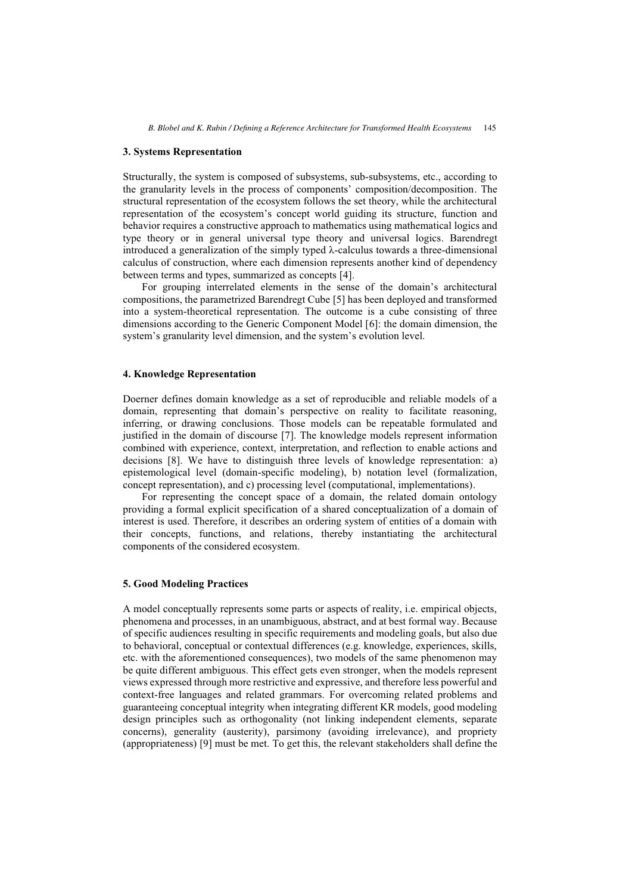#### **3. Systems Representation**

Structurally, the system is composed of subsystems, sub-subsystems, etc., according to the granularity levels in the process of components' composition/decomposition. The structural representation of the ecosystem follows the set theory, while the architectural representation of the ecosystem's concept world guiding its structure, function and behavior requires a constructive approach to mathematics using mathematical logics and type theory or in general universal type theory and universal logics. Barendregt introduced a generalization of the simply typed  $\lambda$ -calculus towards a three-dimensional calculus of construction, where each dimension represents another kind of dependency between terms and types, summarized as concepts [4].

For grouping interrelated elements in the sense of the domain's architectural compositions, the parametrized Barendregt Cube [5] has been deployed and transformed into a system-theoretical representation. The outcome is a cube consisting of three dimensions according to the Generic Component Model [6]: the domain dimension, the system's granularity level dimension, and the system's evolution level.

#### **4. Knowledge Representation**

Doerner defines domain knowledge as a set of reproducible and reliable models of a domain, representing that domain's perspective on reality to facilitate reasoning, inferring, or drawing conclusions. Those models can be repeatable formulated and justified in the domain of discourse [7]. The knowledge models represent information combined with experience, context, interpretation, and reflection to enable actions and decisions [8]. We have to distinguish three levels of knowledge representation: a) epistemological level (domain-specific modeling), b) notation level (formalization, concept representation), and c) processing level (computational, implementations).

For representing the concept space of a domain, the related domain ontology providing a formal explicit specification of a shared conceptualization of a domain of interest is used. Therefore, it describes an ordering system of entities of a domain with their concepts, functions, and relations, thereby instantiating the architectural components of the considered ecosystem.

#### **5. Good Modeling Practices**

A model conceptually represents some parts or aspects of reality, i.e. empirical objects, phenomena and processes, in an unambiguous, abstract, and at best formal way. Because of specific audiences resulting in specific requirements and modeling goals, but also due to behavioral, conceptual or contextual differences (e.g. knowledge, experiences, skills, etc. with the aforementioned consequences), two models of the same phenomenon may be quite different ambiguous. This effect gets even stronger, when the models represent views expressed through more restrictive and expressive, and therefore less powerful and context-free languages and related grammars. For overcoming related problems and guaranteeing conceptual integrity when integrating different KR models, good modeling design principles such as orthogonality (not linking independent elements, separate concerns), generality (austerity), parsimony (avoiding irrelevance), and propriety (appropriateness) [9] must be met. To get this, the relevant stakeholders shall define the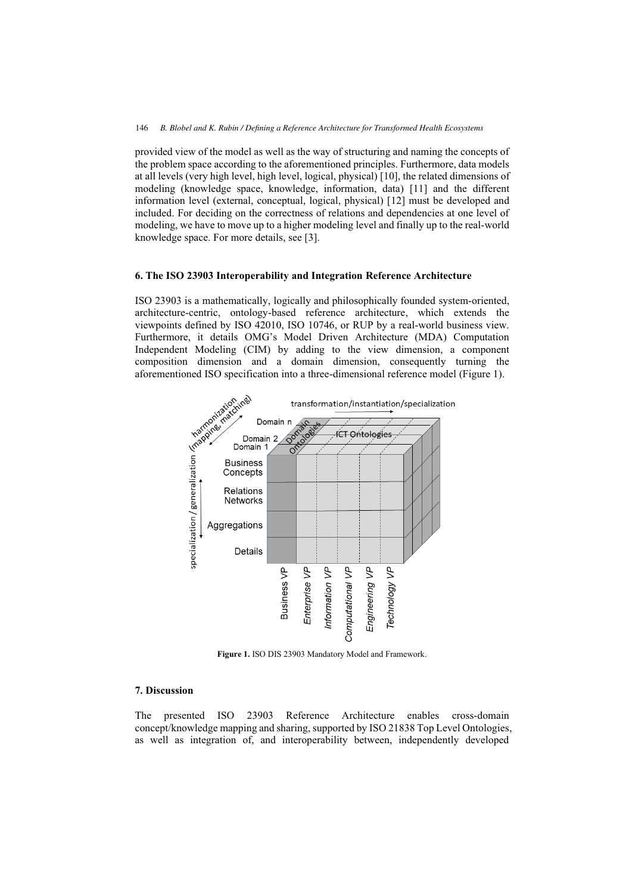provided view of the model as well as the way of structuring and naming the concepts of the problem space according to the aforementioned principles. Furthermore, data models at all levels (very high level, high level, logical, physical) [10], the related dimensions of modeling (knowledge space, knowledge, information, data) [11] and the different information level (external, conceptual, logical, physical) [12] must be developed and included. For deciding on the correctness of relations and dependencies at one level of modeling, we have to move up to a higher modeling level and finally up to the real-world knowledge space. For more details, see [3].

## **6. The ISO 23903 Interoperability and Integration Reference Architecture**

ISO 23903 is a mathematically, logically and philosophically founded system-oriented, architecture-centric, ontology-based reference architecture, which extends the viewpoints defined by ISO 42010, ISO 10746, or RUP by a real-world business view. Furthermore, it details OMG's Model Driven Architecture (MDA) Computation composition dimension and a domain dimension, consequently turning the aforementioned ISO specification into a three-dimensional reference model (Figure 1).



**Figure 1.** ISO DIS 23903 Mandatory Model and Framework.

# **7. Discussion**

The presented ISO 23903 Reference Architecture enables cross-domain concept/knowledge mapping and sharing, supported by ISO 21838 Top Level Ontologies, as well as integration of, and interoperability between, independently developed